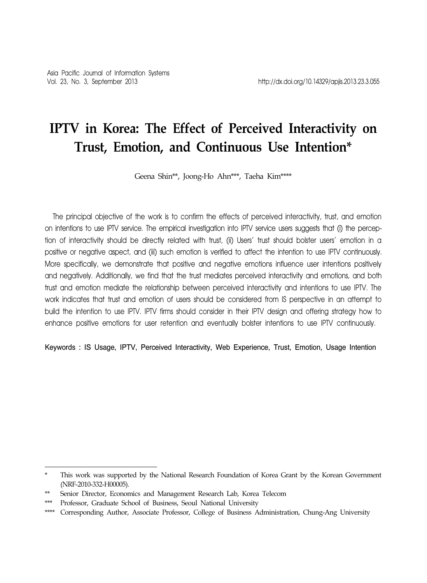# **IPTV in Korea: The Effect of Perceived Interactivity on Trust, Emotion, and Continuous Use Intention\***

Geena Shin\*\*, Joong-Ho Ahn\*\*\*, Taeha Kim\*\*\*\*

The principal objective of the work is to confirm the effects of perceived interactivity, trust, and emotion on intentions to use IPTV service. The empirical investigation into IPTV service users suggests that (i) the perception of interactivity should be directly related with trust, (ii) Users' trust should bolster users' emotion in a positive or negative aspect, and (iii) such emotion is verified to affect the intention to use IPTV continuously. More specifically, we demonstrate that positive and negative emotions influence user intentions positively and negatively. Additionally, we find that the trust mediates perceived interactivity and emotions, and both trust and emotion mediate the relationship between perceived interactivity and intentions to use IPTV. The work indicates that trust and emotion of users should be considered from IS perspective in an attempt to build the intention to use IPTV. IPTV firms should consider in their IPTV design and offering strategy how to enhance positive emotions for user retention and eventually bolster intentions to use IPTV continuously.

Keywords : IS Usage, IPTV, Perceived Interactivity, Web Experience, Trust, Emotion, Usage Intention

This work was supported by the National Research Foundation of Korea Grant by the Korean Government (NRF-2010-332-H00005).

Senior Director, Economics and Management Research Lab, Korea Telecom

<sup>\*\*\*</sup> Professor, Graduate School of Business, Seoul National University

<sup>\*\*\*\*</sup> Corresponding Author, Associate Professor, College of Business Administration, Chung-Ang University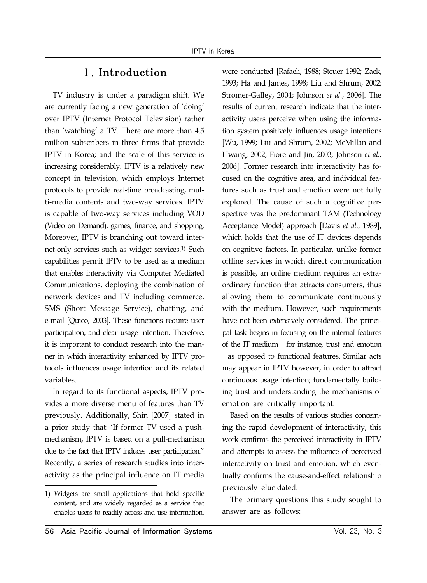## Ⅰ. Introduction

TV industry is under a paradigm shift. We are currently facing a new generation of 'doing' over IPTV (Internet Protocol Television) rather than 'watching' a TV. There are more than 4.5 million subscribers in three firms that provide IPTV in Korea; and the scale of this service is increasing considerably. IPTV is a relatively new concept in television, which employs Internet protocols to provide real-time broadcasting, multi-media contents and two-way services. IPTV is capable of two-way services including VOD (Video on Demand), games, finance, and shopping. Moreover, IPTV is branching out toward internet-only services such as widget services.1) Such capabilities permit IPTV to be used as a medium that enables interactivity via Computer Mediated Communications, deploying the combination of network devices and TV including commerce, SMS (Short Message Service), chatting, and e-mail [Quico, 2003]. These functions require user participation, and clear usage intention. Therefore, it is important to conduct research into the manner in which interactivity enhanced by IPTV protocols influences usage intention and its related variables.

In regard to its functional aspects, IPTV provides a more diverse menu of features than TV previously. Additionally, Shin [2007] stated in a prior study that: 'If former TV used a pushmechanism, IPTV is based on a pull-mechanism due to the fact that IPTV induces user participation." Recently, a series of research studies into interactivity as the principal influence on IT media were conducted [Rafaeli, 1988; Steuer 1992; Zack, 1993; Ha and James, 1998; Liu and Shrum, 2002; Stromer-Galley, 2004; Johnson *et al*., 2006]. The results of current research indicate that the interactivity users perceive when using the information system positively influences usage intentions [Wu, 1999; Liu and Shrum, 2002; McMillan and Hwang, 2002; Fiore and Jin, 2003; Johnson *et al.*, 2006]. Former research into interactivity has focused on the cognitive area, and individual features such as trust and emotion were not fully explored. The cause of such a cognitive perspective was the predominant TAM (Technology Acceptance Model) approach [Davis *et al*., 1989], which holds that the use of IT devices depends on cognitive factors. In particular, unlike former offline services in which direct communication is possible, an online medium requires an extraordinary function that attracts consumers, thus allowing them to communicate continuously with the medium. However, such requirements have not been extensively considered. The principal task begins in focusing on the internal features of the IT medium - for instance, trust and emotion as opposed to functional features. Similar acts may appear in IPTV however, in order to attract continuous usage intention; fundamentally building trust and understanding the mechanisms of emotion are critically important.

Based on the results of various studies concerning the rapid development of interactivity, this work confirms the perceived interactivity in IPTV and attempts to assess the influence of perceived interactivity on trust and emotion, which eventually confirms the cause-and-effect relationship previously elucidated.

The primary questions this study sought to answer are as follows:

<sup>1)</sup> Widgets are small applications that hold specific content, and are widely regarded as a service that enables users to readily access and use information.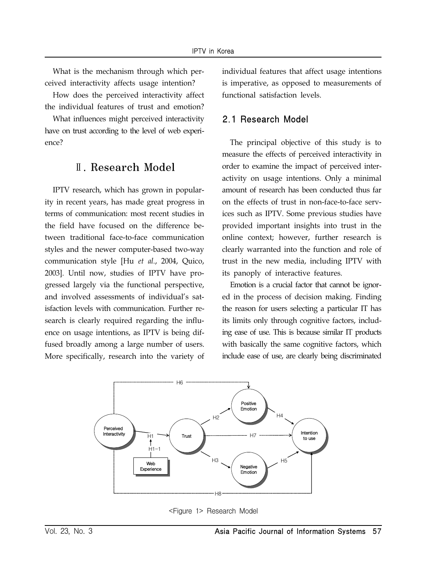What is the mechanism through which perceived interactivity affects usage intention?

How does the perceived interactivity affect the individual features of trust and emotion?

What influences might perceived interactivity have on trust according to the level of web experience?

## Ⅱ. Research Model

IPTV research, which has grown in popularity in recent years, has made great progress in terms of communication: most recent studies in the field have focused on the difference between traditional face-to-face communication styles and the newer computer-based two-way communication style [Hu *et al.*, 2004, Quico, 2003]. Until now, studies of IPTV have progressed largely via the functional perspective, and involved assessments of individual's satisfaction levels with communication. Further research is clearly required regarding the influence on usage intentions, as IPTV is being diffused broadly among a large number of users. More specifically, research into the variety of

individual features that affect usage intentions is imperative, as opposed to measurements of functional satisfaction levels.

### 2.1 Research Model

The principal objective of this study is to measure the effects of perceived interactivity in order to examine the impact of perceived interactivity on usage intentions. Only a minimal amount of research has been conducted thus far on the effects of trust in non-face-to-face services such as IPTV. Some previous studies have provided important insights into trust in the online context; however, further research is clearly warranted into the function and role of trust in the new media, including IPTV with its panoply of interactive features.

Emotion is a crucial factor that cannot be ignored in the process of decision making. Finding the reason for users selecting a particular IT has its limits only through cognitive factors, including ease of use. This is because similar IT products with basically the same cognitive factors, which include ease of use, are clearly being discriminated



<Figure 1> Research Model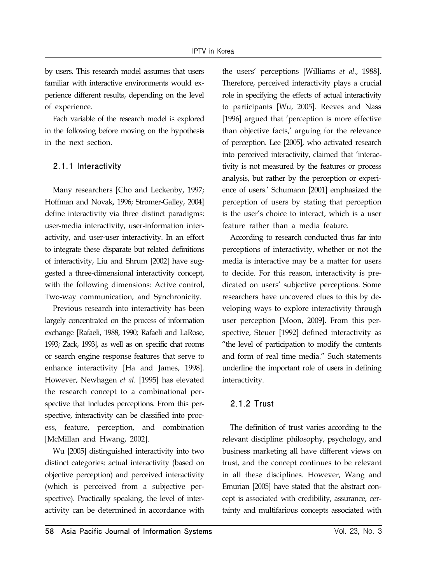by users. This research model assumes that users familiar with interactive environments would experience different results, depending on the level of experience.

Each variable of the research model is explored in the following before moving on the hypothesis in the next section.

### 2.1.1 Interactivity

Many researchers [Cho and Leckenby, 1997; Hoffman and Novak, 1996; Stromer-Galley, 2004] define interactivity via three distinct paradigms: user-media interactivity, user-information interactivity, and user-user interactivity. In an effort to integrate these disparate but related definitions of interactivity, Liu and Shrum [2002] have suggested a three-dimensional interactivity concept, with the following dimensions: Active control, Two-way communication, and Synchronicity.

Previous research into interactivity has been largely concentrated on the process of information exchange [Rafaeli, 1988, 1990; Rafaeli and LaRose, 1993; Zack, 1993], as well as on specific chat rooms or search engine response features that serve to enhance interactivity [Ha and James, 1998]. However, Newhagen *et al.* [1995] has elevated the research concept to a combinational perspective that includes perceptions. From this perspective, interactivity can be classified into process, feature, perception, and combination [McMillan and Hwang, 2002].

Wu [2005] distinguished interactivity into two distinct categories: actual interactivity (based on objective perception) and perceived interactivity (which is perceived from a subjective perspective). Practically speaking, the level of interactivity can be determined in accordance with the users' perceptions [Williams *et al*., 1988]. Therefore, perceived interactivity plays a crucial role in specifying the effects of actual interactivity to participants [Wu, 2005]. Reeves and Nass [1996] argued that 'perception is more effective than objective facts,' arguing for the relevance of perception. Lee [2005], who activated research into perceived interactivity, claimed that 'interactivity is not measured by the features or process analysis, but rather by the perception or experience of users.' Schumann [2001] emphasized the perception of users by stating that perception is the user's choice to interact, which is a user feature rather than a media feature.

According to research conducted thus far into perceptions of interactivity, whether or not the media is interactive may be a matter for users to decide. For this reason, interactivity is predicated on users' subjective perceptions. Some researchers have uncovered clues to this by developing ways to explore interactivity through user perception [Moon, 2009]. From this perspective, Steuer [1992] defined interactivity as "the level of participation to modify the contents and form of real time media." Such statements underline the important role of users in defining interactivity.

### 2.1.2 Trust

The definition of trust varies according to the relevant discipline: philosophy, psychology, and business marketing all have different views on trust, and the concept continues to be relevant in all these disciplines. However, Wang and Emurian [2005] have stated that the abstract concept is associated with credibility, assurance, certainty and multifarious concepts associated with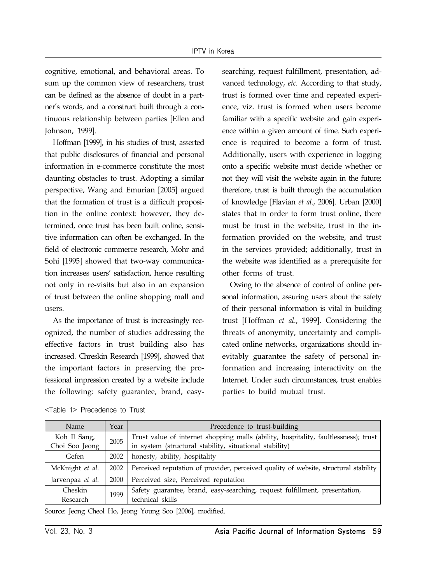cognitive, emotional, and behavioral areas. To sum up the common view of researchers, trust can be defined as the absence of doubt in a partner's words, and a construct built through a continuous relationship between parties [Ellen and Johnson, 1999].

Hoffman [1999], in his studies of trust, asserted that public disclosures of financial and personal information in e-commerce constitute the most daunting obstacles to trust. Adopting a similar perspective, Wang and Emurian [2005] argued that the formation of trust is a difficult proposition in the online context: however, they determined, once trust has been built online, sensitive information can often be exchanged. In the field of electronic commerce research, Mohr and Sohi [1995] showed that two-way communication increases users' satisfaction, hence resulting not only in re-visits but also in an expansion of trust between the online shopping mall and users.

As the importance of trust is increasingly recognized, the number of studies addressing the effective factors in trust building also has increased. Chreskin Research [1999], showed that the important factors in preserving the professional impression created by a website include the following: safety guarantee, brand, easysearching, request fulfillment, presentation, advanced technology, *etc.* According to that study, trust is formed over time and repeated experience, viz. trust is formed when users become familiar with a specific website and gain experience within a given amount of time. Such experience is required to become a form of trust. Additionally, users with experience in logging onto a specific website must decide whether or not they will visit the website again in the future; therefore, trust is built through the accumulation of knowledge [Flavian *et al*., 2006]. Urban [2000] states that in order to form trust online, there must be trust in the website, trust in the information provided on the website, and trust in the services provided; additionally, trust in the website was identified as a prerequisite for other forms of trust.

Owing to the absence of control of online personal information, assuring users about the safety of their personal information is vital in building trust [Hoffman *et al*., 1999]. Considering the threats of anonymity, uncertainty and complicated online networks, organizations should inevitably guarantee the safety of personal information and increasing interactivity on the Internet. Under such circumstances, trust enables parties to build mutual trust.

| Name             | Year | Precedence to trust-building                                                         |  |  |
|------------------|------|--------------------------------------------------------------------------------------|--|--|
| Koh Il Sang,     | 2005 | Trust value of internet shopping malls (ability, hospitality, faultlessness); trust  |  |  |
| Choi Soo Jeong   |      | in system (structural stability, situational stability)                              |  |  |
| Gefen            | 2002 | honesty, ability, hospitality                                                        |  |  |
| McKnight et al.  | 2002 | Perceived reputation of provider, perceived quality of website, structural stability |  |  |
| Jarvenpaa et al. | 2000 | Perceived size, Perceived reputation                                                 |  |  |
| Cheskin          | 1999 | Safety guarantee, brand, easy-searching, request fulfillment, presentation,          |  |  |
| Research         |      | technical skills                                                                     |  |  |

<Table 1> Precedence to Trust

Source: Jeong Cheol Ho, Jeong Young Soo [2006], modified.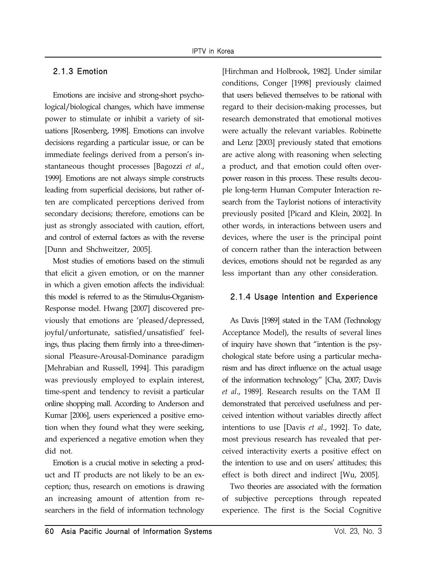### 2.1.3 Emotion

Emotions are incisive and strong-short psychological/biological changes, which have immense power to stimulate or inhibit a variety of situations [Rosenberg, 1998]. Emotions can involve decisions regarding a particular issue, or can be immediate feelings derived from a person's instantaneous thought processes [Bagozzi *et al*., 1999]. Emotions are not always simple constructs leading from superficial decisions, but rather often are complicated perceptions derived from secondary decisions; therefore, emotions can be just as strongly associated with caution, effort, and control of external factors as with the reverse [Dunn and Shchweitzer, 2005].

Most studies of emotions based on the stimuli that elicit a given emotion, or on the manner in which a given emotion affects the individual: this model is referred to as the Stimulus-Organism-Response model. Hwang [2007] discovered previously that emotions are 'pleased/depressed, joyful/unfortunate, satisfied/unsatisfied' feelings, thus placing them firmly into a three-dimensional Pleasure-Arousal-Dominance paradigm [Mehrabian and Russell, 1994]. This paradigm was previously employed to explain interest, time-spent and tendency to revisit a particular online shopping mall. According to Anderson and Kumar [2006], users experienced a positive emotion when they found what they were seeking, and experienced a negative emotion when they did not.

Emotion is a crucial motive in selecting a product and IT products are not likely to be an exception; thus, research on emotions is drawing an increasing amount of attention from researchers in the field of information technology [Hirchman and Holbrook, 1982]. Under similar conditions, Conger [1998] previously claimed that users believed themselves to be rational with regard to their decision-making processes, but research demonstrated that emotional motives were actually the relevant variables. Robinette and Lenz [2003] previously stated that emotions are active along with reasoning when selecting a product, and that emotion could often overpower reason in this process. These results decouple long-term Human Computer Interaction research from the Taylorist notions of interactivity previously posited [Picard and Klein, 2002]. In other words, in interactions between users and devices, where the user is the principal point of concern rather than the interaction between devices, emotions should not be regarded as any less important than any other consideration.

### 2.1.4 Usage Intention and Experience

As Davis [1989] stated in the TAM (Technology Acceptance Model), the results of several lines of inquiry have shown that "intention is the psychological state before using a particular mechanism and has direct influence on the actual usage of the information technology" [Cha, 2007; Davis *et al*., 1989]. Research results on the TAM Ⅱ demonstrated that perceived usefulness and perceived intention without variables directly affect intentions to use [Davis *et al*., 1992]. To date, most previous research has revealed that perceived interactivity exerts a positive effect on the intention to use and on users' attitudes; this effect is both direct and indirect [Wu, 2005].

Two theories are associated with the formation of subjective perceptions through repeated experience. The first is the Social Cognitive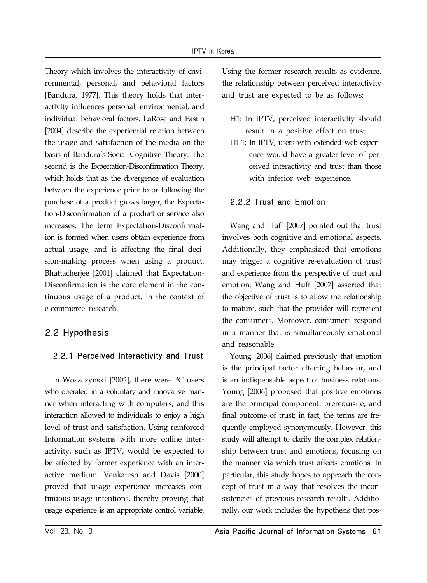Theory which involves the interactivity of environmental, personal, and behavioral factors [Bandura, 1977]. This theory holds that interactivity influences personal, environmental, and individual behavioral factors. LaRose and Eastin [2004] describe the experiential relation between the usage and satisfaction of the media on the basis of Bandura's Social Cognitive Theory. The second is the Expectation-Disconfirmation Theory, which holds that as the divergence of evaluation between the experience prior to or following the purchase of a product grows larger, the Expectation-Disconfirmation of a product or service also increases. The term Expectation-Disconfirmation is formed when users obtain experience from actual usage, and is affecting the final decision-making process when using a product. Bhattacherjee [2001] claimed that Expectation-Disconfirmation is the core element in the continuous usage of a product, in the context of e-commerce research.

## 2.2 Hypothesis

## 2.2.1 Perceived Interactivity and Trust

In Woszczynski [2002], there were PC users who operated in a voluntary and innovative manner when interacting with computers, and this interaction allowed to individuals to enjoy a high level of trust and satisfaction. Using reinforced Information systems with more online interactivity, such as IPTV, would be expected to be affected by former experience with an interactive medium. Venkatesh and Davis [2000] proved that usage experience increases continuous usage intentions, thereby proving that usage experience is an appropriate control variable.

Using the former research results as evidence, the relationship between perceived interactivity and trust are expected to be as follows:

- H1: In IPTV, perceived interactivity should result in a positive effect on trust.
- H1-1: In IPTV, users with extended web experience would have a greater level of perceived interactivity and trust than those with inferior web experience.

## 2.2.2 Trust and Emotion

Wang and Huff [2007] pointed out that trust involves both cognitive and emotional aspects. Additionally, they emphasized that emotions may trigger a cognitive re-evaluation of trust and experience from the perspective of trust and emotion. Wang and Huff [2007] asserted that the objective of trust is to allow the relationship to mature, such that the provider will represent the consumers. Moreover, consumers respond in a manner that is simultaneously emotional and reasonable.

Young [2006] claimed previously that emotion is the principal factor affecting behavior, and is an indispensable aspect of business relations. Young [2006] proposed that positive emotions are the principal component, prerequisite, and final outcome of trust; in fact, the terms are frequently employed synonymously. However, this study will attempt to clarify the complex relationship between trust and emotions, focusing on the manner via which trust affects emotions. In particular, this study hopes to approach the concept of trust in a way that resolves the inconsistencies of previous research results. Additionally, our work includes the hypothesis that pos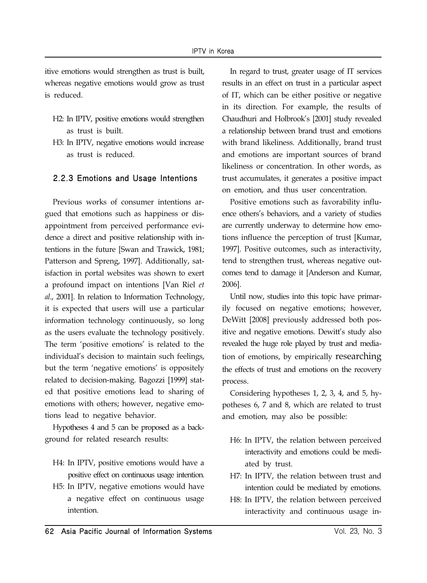itive emotions would strengthen as trust is built, whereas negative emotions would grow as trust is reduced.

- H2: In IPTV, positive emotions would strengthen as trust is built.
- H3: In IPTV, negative emotions would increase as trust is reduced.

### 2.2.3 Emotions and Usage Intentions

Previous works of consumer intentions argued that emotions such as happiness or disappointment from perceived performance evidence a direct and positive relationship with intentions in the future [Swan and Trawick, 1981; Patterson and Spreng, 1997]. Additionally, satisfaction in portal websites was shown to exert a profound impact on intentions [Van Riel *et al*., 2001]. In relation to Information Technology, it is expected that users will use a particular information technology continuously, so long as the users evaluate the technology positively. The term 'positive emotions' is related to the individual's decision to maintain such feelings, but the term 'negative emotions' is oppositely related to decision-making. Bagozzi [1999] stated that positive emotions lead to sharing of emotions with others; however, negative emotions lead to negative behavior.

Hypotheses 4 and 5 can be proposed as a background for related research results:

- H4: In IPTV, positive emotions would have a positive effect on continuous usage intention. H5: In IPTV, negative emotions would have
	- a negative effect on continuous usage intention.

In regard to trust, greater usage of IT services results in an effect on trust in a particular aspect of IT, which can be either positive or negative in its direction. For example, the results of Chaudhuri and Holbrook's [2001] study revealed a relationship between brand trust and emotions with brand likeliness. Additionally, brand trust and emotions are important sources of brand likeliness or concentration. In other words, as trust accumulates, it generates a positive impact on emotion, and thus user concentration.

Positive emotions such as favorability influence others's behaviors, and a variety of studies are currently underway to determine how emotions influence the perception of trust [Kumar, 1997]. Positive outcomes, such as interactivity, tend to strengthen trust, whereas negative outcomes tend to damage it [Anderson and Kumar, 2006].

Until now, studies into this topic have primarily focused on negative emotions; however, DeWitt [2008] previously addressed both positive and negative emotions. Dewitt's study also revealed the huge role played by trust and mediation of emotions, by empirically researching the effects of trust and emotions on the recovery process.

Considering hypotheses 1, 2, 3, 4, and 5, hypotheses 6, 7 and 8, which are related to trust and emotion, may also be possible:

- H6: In IPTV, the relation between perceived interactivity and emotions could be mediated by trust.
- H7: In IPTV, the relation between trust and intention could be mediated by emotions.
- H8: In IPTV, the relation between perceived interactivity and continuous usage in-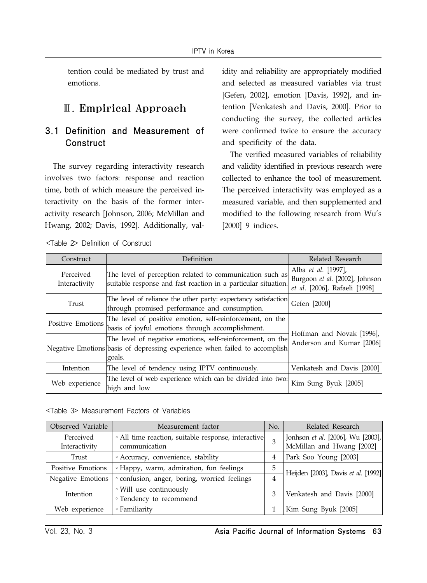tention could be mediated by trust and emotions.

# Ⅲ. Empirical Approach

## 3.1 Definition and Measurement of **Construct**

The survey regarding interactivity research involves two factors: response and reaction time, both of which measure the perceived interactivity on the basis of the former interactivity research [Johnson, 2006; McMillan and Hwang, 2002; Davis, 1992]. Additionally, val-

<Table 2> Definition of Construct

idity and reliability are appropriately modified and selected as measured variables via trust [Gefen, 2002], emotion [Davis, 1992], and intention [Venkatesh and Davis, 2000]. Prior to conducting the survey, the collected articles were confirmed twice to ensure the accuracy and specificity of the data.

The verified measured variables of reliability and validity identified in previous research were collected to enhance the tool of measurement. The perceived interactivity was employed as a measured variable, and then supplemented and modified to the following research from Wu's [2000] 9 indices.

| Construct                  | Definition                                                                                                                                         | Related Research                                                                       |
|----------------------------|----------------------------------------------------------------------------------------------------------------------------------------------------|----------------------------------------------------------------------------------------|
| Perceived<br>Interactivity | The level of perception related to communication such as<br>suitable response and fast reaction in a particular situation.                         | Alba et al. [1997],<br>Burgoon et al. [2002], Johnson<br>et al. [2006], Rafaeli [1998] |
| Trust                      | The level of reliance the other party: expectancy satisfaction<br>through promised performance and consumption.                                    | Gefen [2000]                                                                           |
| Positive Emotions          | The level of positive emotion, self-reinforcement, on the<br>basis of joyful emotions through accomplishment.                                      |                                                                                        |
|                            | The level of negative emotions, self-reinforcement, on the<br>Negative Emotions basis of depressing experience when failed to accomplish<br>goals. | Hoffman and Novak [1996],<br>Anderson and Kumar [2006]                                 |
| Intention                  | The level of tendency using IPTV continuously.                                                                                                     | Venkatesh and Davis [2000]                                                             |
| Web experience             | The level of web experience which can be divided into two:<br>high and low                                                                         | Kim Sung Byuk [2005]                                                                   |

|  | <table 3=""> Measurement Factors of Variables</table> |  |  |  |
|--|-------------------------------------------------------|--|--|--|
|--|-------------------------------------------------------|--|--|--|

| Observed Variable          | Measurement factor                                                   |   | Related Research                                               |  |
|----------------------------|----------------------------------------------------------------------|---|----------------------------------------------------------------|--|
| Perceived<br>Interactivity | · All time reaction, suitable response, interactive<br>communication |   | Jonhson et al. [2006], Wu [2003],<br>McMillan and Hwang [2002] |  |
| Trust                      | · Accuracy, convenience, stability                                   | 4 | Park Soo Young [2003]                                          |  |
| Positive Emotions          | <sup>o</sup> Happy, warm, admiration, fun feelings                   | 5 | Heijden [2003], Davis et al. [1992]                            |  |
| Negative Emotions          | · confusion, anger, boring, worried feelings                         |   |                                                                |  |
| Intention                  | • Will use continuously                                              | 3 | Venkatesh and Davis [2000]                                     |  |
|                            | • Tendency to recommend                                              |   |                                                                |  |
| Web experience             | ∘ Familiarity                                                        |   | Kim Sung Byuk [2005]                                           |  |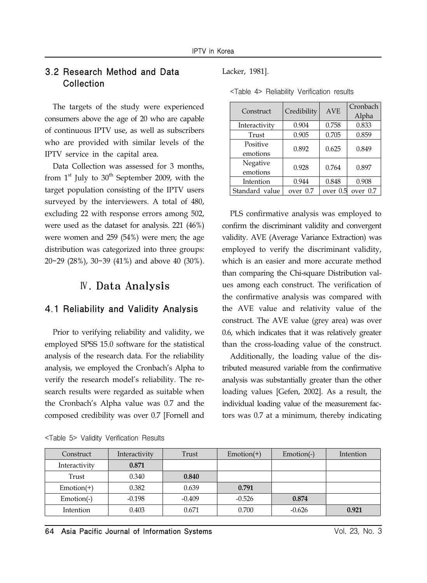## 3.2 Research Method and Data Collection

The targets of the study were experienced consumers above the age of 20 who are capable of continuous IPTV use, as well as subscribers who are provided with similar levels of the IPTV service in the capital area.

Data Collection was assessed for 3 months, from  $1<sup>st</sup>$  July to  $30<sup>th</sup>$  September 2009, with the target population consisting of the IPTV users surveyed by the interviewers. A total of 480, excluding 22 with response errors among 502, were used as the dataset for analysis. 221 (46%) were women and 259 (54%) were men; the age distribution was categorized into three groups: 20~29 (28%), 30~39 (41%) and above 40 (30%).

## Ⅳ. Data Analysis

## 4.1 Reliability and Validity Analysis

Prior to verifying reliability and validity, we employed SPSS 15.0 software for the statistical analysis of the research data. For the reliability analysis, we employed the Cronbach's Alpha to verify the research model's reliability. The research results were regarded as suitable when the Cronbach's Alpha value was 0.7 and the composed credibility was over 0.7 [Fornell and Lacker, 1981].

| Construct      | Credibility | <b>AVE</b> | Cronbach |  |
|----------------|-------------|------------|----------|--|
|                |             |            | Alpha    |  |
| Interactivity  | 0.904       | 0.758      | 0.833    |  |
| Trust          | 0.905       | 0.705      | 0.859    |  |
| Positive       | 0.892       | 0.625      | 0.849    |  |
| emotions       |             |            |          |  |
| Negative       | 0.928       | 0.764      | 0.897    |  |
| emotions       |             |            |          |  |
| Intention      | 0.944       | 0.848      | 0.908    |  |
| Standard value | over 0.7    | over 0.5   | over 0.7 |  |

<Table 4> Reliability Verification results

PLS confirmative analysis was employed to confirm the discriminant validity and convergent validity. AVE (Average Variance Extraction) was employed to verify the discriminant validity, which is an easier and more accurate method than comparing the Chi-square Distribution values among each construct. The verification of the confirmative analysis was compared with the AVE value and relativity value of the construct. The AVE value (grey area) was over 0.6, which indicates that it was relatively greater than the cross-loading value of the construct.

Additionally, the loading value of the distributed measured variable from the confirmative analysis was substantially greater than the other loading values [Gefen, 2002]. As a result, the individual loading value of the measurement factors was 0.7 at a minimum, thereby indicating

|  |  |  | <table 5=""> Validity Verification Results</table> |  |
|--|--|--|----------------------------------------------------|--|
|--|--|--|----------------------------------------------------|--|

| Construct     | Interactivity | Trust    | $Emotion(+)$ | $Emotion(-)$ | Intention |
|---------------|---------------|----------|--------------|--------------|-----------|
| Interactivity | 0.871         |          |              |              |           |
| Trust         | 0.340         | 0.840    |              |              |           |
| $Emotion(+)$  | 0.382         | 0.639    | 0.791        |              |           |
| Emotion(-)    | $-0.198$      | $-0.409$ | $-0.526$     | 0.874        |           |
| Intention     | 0.403         | 0.671    | 0.700        | $-0.626$     | 0.921     |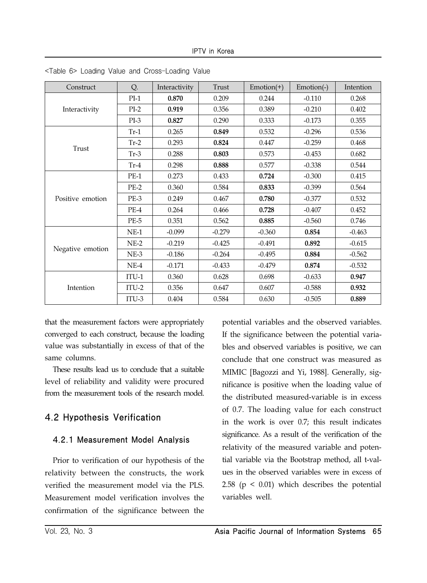| Construct              | Q.      | Interactivity | Trust    | $Emotion(+)$ | Emotion(-) | Intention |
|------------------------|---------|---------------|----------|--------------|------------|-----------|
|                        | $PI-1$  | 0.870         | 0.209    | 0.244        | $-0.110$   | 0.268     |
| Interactivity<br>Trust | $PI-2$  | 0.919         | 0.356    | 0.389        | $-0.210$   | 0.402     |
|                        | $PI-3$  | 0.827         | 0.290    | 0.333        | $-0.173$   | 0.355     |
|                        | $Tr-1$  | 0.265         | 0.849    | 0.532        | $-0.296$   | 0.536     |
|                        | $Tr-2$  | 0.293         | 0.824    | 0.447        | $-0.259$   | 0.468     |
|                        | $Tr-3$  | 0.288         | 0.803    | 0.573        | $-0.453$   | 0.682     |
|                        | $Tr-4$  | 0.298         | 0.888    | 0.577        | $-0.338$   | 0.544     |
| Positive emotion       | $PE-1$  | 0.273         | 0.433    | 0.724        | $-0.300$   | 0.415     |
|                        | $PE-2$  | 0.360         | 0.584    | 0.833        | $-0.399$   | 0.564     |
|                        | PE-3    | 0.249         | 0.467    | 0.780        | $-0.377$   | 0.532     |
|                        | $PE-4$  | 0.264         | 0.466    | 0.728        | $-0.407$   | 0.452     |
|                        | $PE-5$  | 0.351         | 0.562    | 0.885        | $-0.560$   | 0.746     |
|                        | $NE-1$  | $-0.099$      | $-0.279$ | $-0.360$     | 0.854      | $-0.463$  |
| Negative emotion       | $NE-2$  | $-0.219$      | $-0.425$ | $-0.491$     | 0.892      | $-0.615$  |
|                        | $NE-3$  | $-0.186$      | $-0.264$ | $-0.495$     | 0.884      | $-0.562$  |
|                        | $NE-4$  | $-0.171$      | $-0.433$ | $-0.479$     | 0.874      | $-0.532$  |
|                        | $ITU-1$ | 0.360         | 0.628    | 0.698        | $-0.633$   | 0.947     |
| Intention              | $ITU-2$ | 0.356         | 0.647    | 0.607        | $-0.588$   | 0.932     |
|                        | $ITU-3$ | 0.404         | 0.584    | 0.630        | $-0.505$   | 0.889     |

<Table 6> Loading Value and Cross-Loading Value

that the measurement factors were appropriately converged to each construct, because the loading value was substantially in excess of that of the same columns.

These results lead us to conclude that a suitable level of reliability and validity were procured from the measurement tools of the research model.

## 4.2 Hypothesis Verification

## 4.2.1 Measurement Model Analysis

Prior to verification of our hypothesis of the relativity between the constructs, the work verified the measurement model via the PLS. Measurement model verification involves the confirmation of the significance between the potential variables and the observed variables. If the significance between the potential variables and observed variables is positive, we can conclude that one construct was measured as MIMIC [Bagozzi and Yi, 1988]. Generally, significance is positive when the loading value of the distributed measured-variable is in excess of 0.7. The loading value for each construct in the work is over 0.7; this result indicates significance. As a result of the verification of the relativity of the measured variable and potential variable via the Bootstrap method, all t-values in the observed variables were in excess of 2.58 ( $p < 0.01$ ) which describes the potential variables well.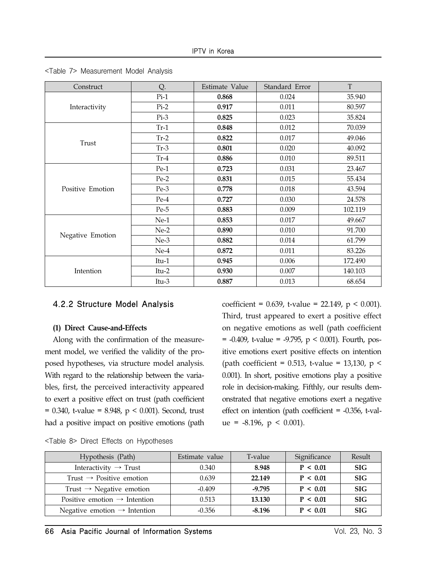| Construct        | Q.      | Estimate Value | Standard Error | T       |
|------------------|---------|----------------|----------------|---------|
|                  | $Pi-1$  | 0.868          | 0.024          | 35.940  |
| Interactivity    | $Pi-2$  | 0.917          | 0.011          | 80.597  |
|                  | $Pi-3$  | 0.825          | 0.023          | 35.824  |
|                  | $Tr-1$  | 0.848          | 0.012          | 70.039  |
| Trust            | $Tr-2$  | 0.822          | 0.017          | 49.046  |
|                  | $Tr-3$  | 0.801          | 0.020          | 40.092  |
|                  | $Tr-4$  | 0.886          | 0.010          | 89.511  |
| Positive Emotion | $Pe-1$  | 0.723          | 0.031          | 23.467  |
|                  | $Pe-2$  | 0.831          | 0.015          | 55.434  |
|                  | $Pe-3$  | 0.778          | 0.018          | 43.594  |
|                  | Pe-4    | 0.727          | 0.030          | 24.578  |
|                  | $Pe-5$  | 0.883          | 0.009          | 102.119 |
|                  | $Ne-1$  | 0.853          | 0.017          | 49.667  |
|                  | $Ne-2$  | 0.890          | 0.010          | 91.700  |
| Negative Emotion | $Ne-3$  | 0.882          | 0.014          | 61.799  |
|                  | $Ne-4$  | 0.872          | 0.011          | 83.226  |
|                  | Itu-1   | 0.945          | 0.006          | 172.490 |
| Intention        | Itu-2   | 0.930          | 0.007          | 140.103 |
|                  | $Itu-3$ | 0.887          | 0.013          | 68.654  |

<Table 7> Measurement Model Analysis

### 4.2.2 Structure Model Analysis

#### **(1) Direct Cause-and-Effects**

Along with the confirmation of the measurement model, we verified the validity of the proposed hypotheses, via structure model analysis. With regard to the relationship between the variables, first, the perceived interactivity appeared to exert a positive effect on trust (path coefficient  $= 0.340$ , t-value  $= 8.948$ , p  $< 0.001$ ). Second, trust had a positive impact on positive emotions (path

coefficient =  $0.639$ , t-value =  $22.149$ , p <  $0.001$ ). Third, trust appeared to exert a positive effect on negative emotions as well (path coefficient  $= -0.409$ , t-value  $= -9.795$ ,  $p < 0.001$ ). Fourth, positive emotions exert positive effects on intention (path coefficient = 0.513, t-value = 13,130,  $p \le$ 0.001). In short, positive emotions play a positive role in decision-making. Fifthly, our results demonstrated that negative emotions exert a negative effect on intention (path coefficient = -0.356, t-value =  $-8.196$ ,  $p < 0.001$ ).

|  |  | <table 8=""> Direct Effects on Hypotheses</table> |  |
|--|--|---------------------------------------------------|--|
|  |  |                                                   |  |

| Hypothesis (Path)                        | Estimate value | T-value  | Significance | Result     |
|------------------------------------------|----------------|----------|--------------|------------|
| Interactivity $\rightarrow$ Trust        | 0.340          | 8.948    | P < 0.01     | <b>SIG</b> |
| Trust $\rightarrow$ Positive emotion     | 0.639          | 22.149   | P < 0.01     | <b>SIG</b> |
| Trust $\rightarrow$ Negative emotion     | $-0.409$       | $-9.795$ | P < 0.01     | <b>SIG</b> |
| Positive emotion $\rightarrow$ Intention | 0.513          | 13.130   | P < 0.01     | <b>SIG</b> |
| Negative emotion $\rightarrow$ Intention | $-0.356$       | $-8.196$ | P < 0.01     | <b>SIG</b> |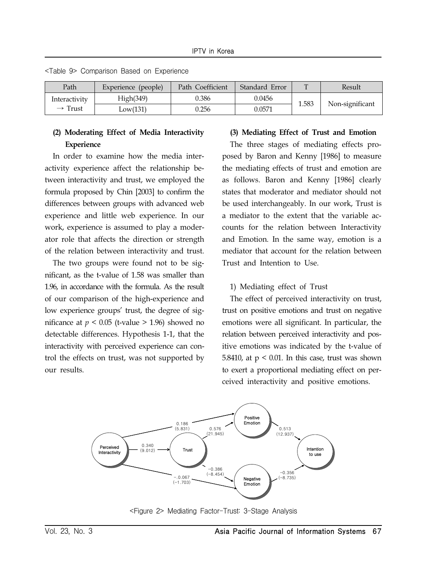| Path                | Experience (people) | Path Coefficient | Standard Error | $\mathbf{u}$ | Result          |
|---------------------|---------------------|------------------|----------------|--------------|-----------------|
| Interactivity       | High(349)           | 0.386            | 0.0456         | 1.583        |                 |
| $\rightarrow$ Trust | Low(131)            | 0.256            | 0.0571         |              | Non-significant |

<Table 9> Comparison Based on Experience

### **(2) Moderating Effect of Media Interactivity Experience**

In order to examine how the media interactivity experience affect the relationship between interactivity and trust, we employed the formula proposed by Chin [2003] to confirm the differences between groups with advanced web experience and little web experience. In our work, experience is assumed to play a moderator role that affects the direction or strength of the relation between interactivity and trust.

The two groups were found not to be significant, as the t-value of 1.58 was smaller than 1.96, in accordance with the formula. As the result of our comparison of the high-experience and low experience groups' trust, the degree of significance at  $p < 0.05$  (t-value  $> 1.96$ ) showed no detectable differences. Hypothesis 1-1, that the interactivity with perceived experience can control the effects on trust, was not supported by our results.

#### **(3) Mediating Effect of Trust and Emotion**

The three stages of mediating effects proposed by Baron and Kenny [1986] to measure the mediating effects of trust and emotion are as follows. Baron and Kenny [1986] clearly states that moderator and mediator should not be used interchangeably. In our work, Trust is a mediator to the extent that the variable accounts for the relation between Interactivity and Emotion. In the same way, emotion is a mediator that account for the relation between Trust and Intention to Use.

#### 1) Mediating effect of Trust

The effect of perceived interactivity on trust, trust on positive emotions and trust on negative emotions were all significant. In particular, the relation between perceived interactivity and positive emotions was indicated by the t-value of 5.8410, at  $p < 0.01$ . In this case, trust was shown to exert a proportional mediating effect on perceived interactivity and positive emotions.



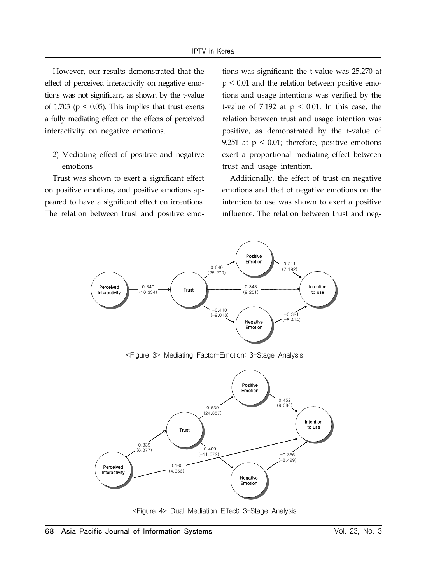However, our results demonstrated that the effect of perceived interactivity on negative emotions was not significant, as shown by the t-value of 1.703 ( $p < 0.05$ ). This implies that trust exerts a fully mediating effect on the effects of perceived interactivity on negative emotions.

2) Mediating effect of positive and negative emotions

Trust was shown to exert a significant effect on positive emotions, and positive emotions appeared to have a significant effect on intentions. The relation between trust and positive emotions was significant: the t-value was 25.270 at p < 0.01 and the relation between positive emotions and usage intentions was verified by the t-value of 7.192 at  $p < 0.01$ . In this case, the relation between trust and usage intention was positive, as demonstrated by the t-value of 9.251 at  $p < 0.01$ ; therefore, positive emotions exert a proportional mediating effect between trust and usage intention.

Additionally, the effect of trust on negative emotions and that of negative emotions on the intention to use was shown to exert a positive influence. The relation between trust and neg-



<Figure 3> Mediating Factor-Emotion: 3-Stage Analysis



<Figure 4> Dual Mediation Effect: 3-Stage Analysis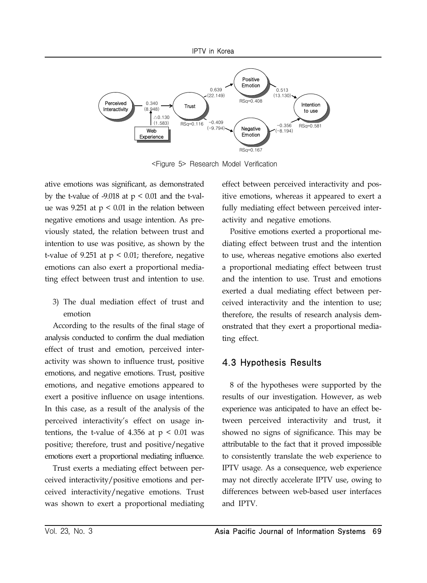

<Figure 5> Research Model Verification

ative emotions was significant, as demonstrated by the t-value of  $-9.018$  at  $p < 0.01$  and the t-value was 9.251 at  $p < 0.01$  in the relation between negative emotions and usage intention. As previously stated, the relation between trust and intention to use was positive, as shown by the t-value of 9.251 at  $p < 0.01$ ; therefore, negative emotions can also exert a proportional mediating effect between trust and intention to use.

3) The dual mediation effect of trust and emotion

According to the results of the final stage of analysis conducted to confirm the dual mediation effect of trust and emotion, perceived interactivity was shown to influence trust, positive emotions, and negative emotions. Trust, positive emotions, and negative emotions appeared to exert a positive influence on usage intentions. In this case, as a result of the analysis of the perceived interactivity's effect on usage intentions, the t-value of 4.356 at  $p < 0.01$  was positive; therefore, trust and positive/negative emotions exert a proportional mediating influence.

Trust exerts a mediating effect between perceived interactivity/positive emotions and perceived interactivity/negative emotions. Trust was shown to exert a proportional mediating effect between perceived interactivity and positive emotions, whereas it appeared to exert a fully mediating effect between perceived interactivity and negative emotions.

Positive emotions exerted a proportional mediating effect between trust and the intention to use, whereas negative emotions also exerted a proportional mediating effect between trust and the intention to use. Trust and emotions exerted a dual mediating effect between perceived interactivity and the intention to use; therefore, the results of research analysis demonstrated that they exert a proportional mediating effect.

## 4.3 Hypothesis Results

8 of the hypotheses were supported by the results of our investigation. However, as web experience was anticipated to have an effect between perceived interactivity and trust, it showed no signs of significance. This may be attributable to the fact that it proved impossible to consistently translate the web experience to IPTV usage. As a consequence, web experience may not directly accelerate IPTV use, owing to differences between web-based user interfaces and IPTV.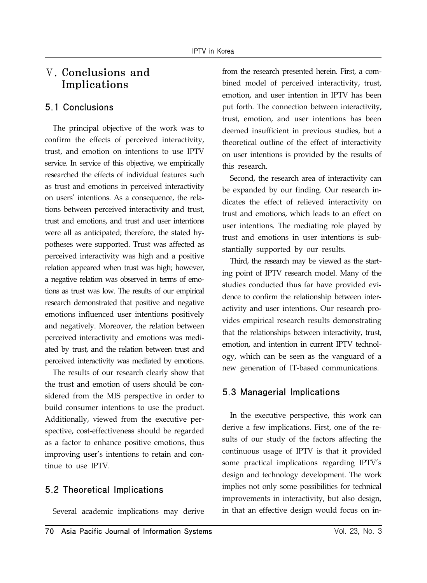## Ⅴ. Conclusions and Implications

## 5.1 Conclusions

The principal objective of the work was to confirm the effects of perceived interactivity, trust, and emotion on intentions to use IPTV service. In service of this objective, we empirically researched the effects of individual features such as trust and emotions in perceived interactivity on users' intentions. As a consequence, the relations between perceived interactivity and trust, trust and emotions, and trust and user intentions were all as anticipated; therefore, the stated hypotheses were supported. Trust was affected as perceived interactivity was high and a positive relation appeared when trust was high; however, a negative relation was observed in terms of emotions as trust was low. The results of our empirical research demonstrated that positive and negative emotions influenced user intentions positively and negatively. Moreover, the relation between perceived interactivity and emotions was mediated by trust, and the relation between trust and perceived interactivity was mediated by emotions.

The results of our research clearly show that the trust and emotion of users should be considered from the MIS perspective in order to build consumer intentions to use the product. Additionally, viewed from the executive perspective, cost-effectiveness should be regarded as a factor to enhance positive emotions, thus improving user's intentions to retain and continue to use IPTV.

## 5.2 Theoretical Implications

Several academic implications may derive

from the research presented herein. First, a combined model of perceived interactivity, trust, emotion, and user intention in IPTV has been put forth. The connection between interactivity, trust, emotion, and user intentions has been deemed insufficient in previous studies, but a theoretical outline of the effect of interactivity on user intentions is provided by the results of this research.

Second, the research area of interactivity can be expanded by our finding. Our research indicates the effect of relieved interactivity on trust and emotions, which leads to an effect on user intentions. The mediating role played by trust and emotions in user intentions is substantially supported by our results.

Third, the research may be viewed as the starting point of IPTV research model. Many of the studies conducted thus far have provided evidence to confirm the relationship between interactivity and user intentions. Our research provides empirical research results demonstrating that the relationships between interactivity, trust, emotion, and intention in current IPTV technology, which can be seen as the vanguard of a new generation of IT-based communications.

## 5.3 Managerial Implications

In the executive perspective, this work can derive a few implications. First, one of the results of our study of the factors affecting the continuous usage of IPTV is that it provided some practical implications regarding IPTV's design and technology development. The work implies not only some possibilities for technical improvements in interactivity, but also design, in that an effective design would focus on in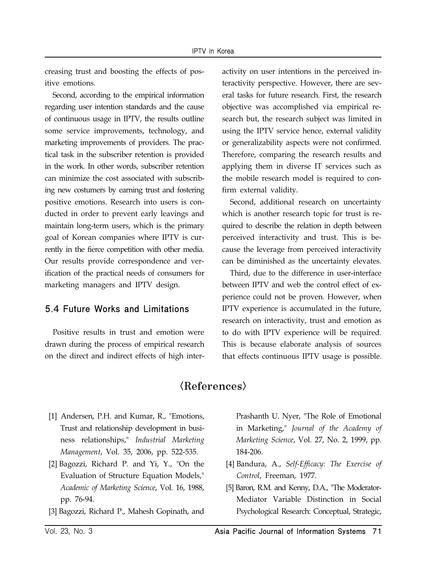creasing trust and boosting the effects of positive emotions.

Second, according to the empirical information regarding user intention standards and the cause of continuous usage in IPTV, the results outline some service improvements, technology, and marketing improvements of providers. The practical task in the subscriber retention is provided in the work. In other words, subscriber retention can minimize the cost associated with subscribing new costumers by earning trust and fostering positive emotions. Research into users is conducted in order to prevent early leavings and maintain long-term users, which is the primary goal of Korean companies where IPTV is currently in the fierce competition with other media. Our results provide correspondence and verification of the practical needs of consumers for marketing managers and IPTV design.

## 5.4 Future Works and Limitations

Positive results in trust and emotion were drawn during the process of empirical research on the direct and indirect effects of high interactivity on user intentions in the perceived interactivity perspective. However, there are several tasks for future research. First, the research objective was accomplished via empirical research but, the research subject was limited in using the IPTV service hence, external validity or generalizability aspects were not confirmed. Therefore, comparing the research results and applying them in diverse IT services such as the mobile research model is required to confirm external validity.

Second, additional research on uncertainty which is another research topic for trust is required to describe the relation in depth between perceived interactivity and trust. This is because the leverage from perceived interactivity can be diminished as the uncertainty elevates.

Third, due to the difference in user-interface between IPTV and web the control effect of experience could not be proven. However, when IPTV experience is accumulated in the future, research on interactivity, trust and emotion as to do with IPTV experience will be required. This is because elaborate analysis of sources that effects continuous IPTV usage is possible.

## $\langle References\rangle$

- [1] Andersen, P.H. and Kumar, R., "Emotions, Trust and relationship development in business relationships," *Industrial Marketing Management*, Vol. 35, 2006, pp. 522-535.
- [2] Bagozzi, Richard P. and Yi, Y., "On the Evaluation of Structure Equation Models," *Academic of Marketing Science*, Vol. 16, 1988, pp. 76-94.
- [3] Bagozzi, Richard P., Mahesh Gopinath, and

Prashanth U. Nyer, "The Role of Emotional in Marketing," *Journal of the Academy of Marketing Science*, Vol. 27, No. 2, 1999, pp. 184-206.

- [4] Bandura, A., *Self-Efficacy: The Exercise of Control*, Freeman, 1977.
- [5] Baron, R.M. and Kenny, D.A., "The Moderator-Mediator Variable Distinction in Social Psychological Research: Conceptual, Strategic,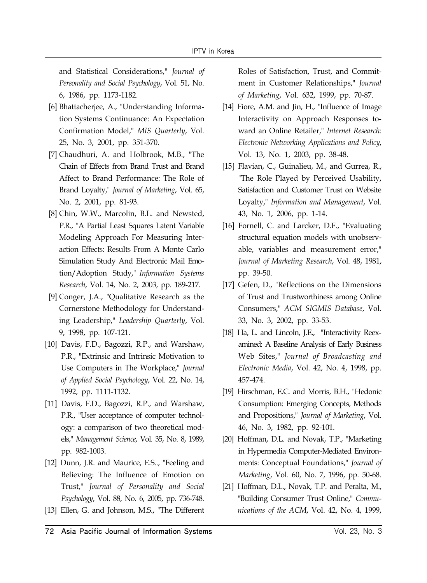and Statistical Considerations," *Journal of Personality and Social Psychology*, Vol. 51, No. 6, 1986, pp. 1173-1182.

- [6] Bhattacherjee, A., "Understanding Information Systems Continuance: An Expectation Confirmation Model," *MIS Quarterly*, Vol. 25, No. 3, 2001, pp. 351-370.
- [7] Chaudhuri, A. and Holbrook, M.B., "The Chain of Effects from Brand Trust and Brand Affect to Brand Performance: The Role of Brand Loyalty," *Journal of Marketing*, Vol. 65, No. 2, 2001, pp. 81-93.
- [8] Chin, W.W., Marcolin, B.L. and Newsted, P.R., "A Partial Least Squares Latent Variable Modeling Approach For Measuring Interaction Effects: Results From A Monte Carlo Simulation Study And Electronic Mail Emotion/Adoption Study," *Information Systems Research*, Vol. 14, No. 2, 2003, pp. 189-217.
- [9] Conger, J.A., "Qualitative Research as the Cornerstone Methodology for Understanding Leadership," *Leadership Quarterly*, Vol. 9, 1998, pp. 107-121.
- [10] Davis, F.D., Bagozzi, R.P., and Warshaw, P.R., "Extrinsic and Intrinsic Motivation to Use Computers in The Workplace," *Journal of Applied Social Psychology*, Vol. 22, No. 14, 1992, pp. 1111-1132.
- [11] Davis, F.D., Bagozzi, R.P., and Warshaw, P.R., "User acceptance of computer technology: a comparison of two theoretical models," *Management Science*, Vol. 35, No. 8, 1989, pp. 982-1003.
- [12] Dunn, J.R. and Maurice, E.S.., "Feeling and Believing: The Influence of Emotion on Trust," *Journal of Personality and Social Psychology*, Vol. 88, No. 6, 2005, pp. 736-748.
- [13] Ellen, G. and Johnson, M.S., "The Different

Roles of Satisfaction, Trust, and Commitment in Customer Relationships," *Journal of Marketing*, Vol. 632, 1999, pp. 70-87.

- [14] Fiore, A.M. and Jin, H., "Influence of Image Interactivity on Approach Responses toward an Online Retailer," *Internet Research: Electronic Networking Applications and Policy*, Vol. 13, No. 1, 2003, pp. 38-48.
- [15] Flavian, C., Guinalieu, M., and Gurrea, R., "The Role Played by Perceived Usability, Satisfaction and Customer Trust on Website Loyalty," *Information and Management*, Vol. 43, No. 1, 2006, pp. 1-14.
- [16] Fornell, C. and Larcker, D.F., "Evaluating structural equation models with unobservable, variables and measurement error," *Journal of Marketing Research*, Vol. 48, 1981, pp. 39-50.
- [17] Gefen, D., "Reflections on the Dimensions of Trust and Trustworthiness among Online Consumers," *ACM SIGMIS Database*, Vol. 33, No. 3, 2002, pp. 33-53.
- [18] Ha, L. and Lincoln, J.E., "Interactivity Reexamined: A Baseline Analysis of Early Business Web Sites," *Journal of Broadcasting and Electronic Media*, Vol. 42, No. 4, 1998, pp. 457-474.
- [19] Hirschman, E.C. and Morris, B.H., "Hedonic Consumption: Emerging Concepts, Methods and Propositions," *Journal of Marketing*, Vol. 46, No. 3, 1982, pp. 92-101.
- [20] Hoffman, D.L. and Novak, T.P., "Marketing in Hypermedia Computer-Mediated Environments: Conceptual Foundations," *Journal of Marketing*, Vol. 60, No. 7, 1996, pp. 50-68.
- [21] Hoffman, D.L., Novak, T.P. and Peralta, M., "Building Consumer Trust Online," *Communications of the ACM*, Vol. 42, No. 4, 1999,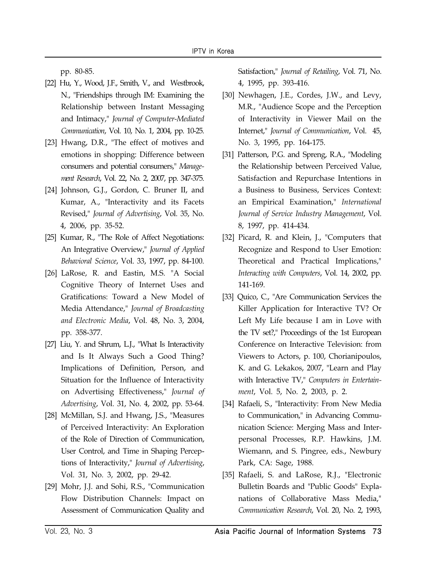pp. 80-85.

- [22] Hu, Y., Wood, J.F., Smith, V., and Westbrook, N., "Friendships through IM: Examining the Relationship between Instant Messaging and Intimacy," *Journal of Computer-Mediated Communication*, Vol. 10, No. 1, 2004, pp. 10-25.
- [23] Hwang, D.R., "The effect of motives and emotions in shopping: Difference between consumers and potential consumers," *Management Research*, Vol. 22, No. 2, 2007, pp. 347-375.
- [24] Johnson, G.J., Gordon, C. Bruner II, and Kumar, A., "Interactivity and its Facets Revised," *Journal of Advertising*, Vol. 35, No. 4, 2006, pp. 35-52.
- [25] Kumar, R., "The Role of Affect Negotiations: An Integrative Overview," *Journal of Applied Behavioral Science*, Vol. 33, 1997, pp. 84-100.
- [26] LaRose, R. and Eastin, M.S. "A Social Cognitive Theory of Internet Uses and Gratifications: Toward a New Model of Media Attendance," *Journal of Broadcasting and Electronic Media*, Vol. 48, No. 3, 2004, pp. 358-377.
- [27] Liu, Y. and Shrum, L.J., "What Is Interactivity and Is It Always Such a Good Thing? Implications of Definition, Person, and Situation for the Influence of Interactivity on Advertising Effectiveness," *Journal of Advertising*, Vol. 31, No. 4, 2002, pp. 53-64.
- [28] McMillan, S.J. and Hwang, J.S., "Measures of Perceived Interactivity: An Exploration of the Role of Direction of Communication, User Control, and Time in Shaping Perceptions of Interactivity," *Journal of Advertising*, Vol. 31, No. 3, 2002, pp. 29-42.
- [29] Mohr, J.J. and Sohi, R.S., "Communication Flow Distribution Channels: Impact on Assessment of Communication Quality and

Satisfaction," *Journal of Retailing*, Vol. 71, No. 4, 1995, pp. 393-416.

- [30] Newhagen, J.E., Cordes, J.W., and Levy, M.R., "Audience Scope and the Perception of Interactivity in Viewer Mail on the Internet," *Journal of Communication*, Vol. 45, No. 3, 1995, pp. 164-175.
- [31] Patterson, P.G. and Spreng, R.A., "Modeling the Relationship between Perceived Value, Satisfaction and Repurchase Intentions in a Business to Business, Services Context: an Empirical Examination," *International Journal of Service Industry Management*, Vol. 8, 1997, pp. 414-434.
- [32] Picard, R. and Klein, J., "Computers that Recognize and Respond to User Emotion: Theoretical and Practical Implications," *Interacting with Computers*, Vol. 14, 2002, pp. 141-169.
- [33] Quico, C., "Are Communication Services the Killer Application for Interactive TV? Or Left My Life because I am in Love with the TV set?," Proceedings of the 1st European Conference on Interactive Television: from Viewers to Actors, p. 100, Chorianipoulos, K. and G. Lekakos, 2007, "Learn and Play with Interactive TV," *Computers in Entertainment*, Vol. 5, No. 2, 2003, p. 2.
- [34] Rafaeli, S., "Interactivity: From New Media to Communication," in Advancing Communication Science: Merging Mass and Interpersonal Processes, R.P. Hawkins, J.M. Wiemann, and S. Pingree, eds., Newbury Park, CA: Sage, 1988.
- [35] Rafaeli, S. and LaRose, R.J., "Electronic Bulletin Boards and "Public Goods" Explanations of Collaborative Mass Media," *Communication Research*, Vol. 20, No. 2, 1993,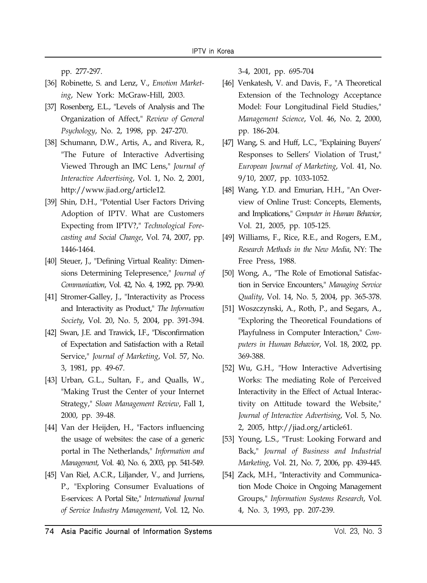pp. 277-297.

- [36] Robinette, S. and Lenz, V., *Emotion Market*ing, New York: McGraw-Hill, 2003.
- [37] Rosenberg, E.L., "Levels of Analysis and The Organization of Affect," *Review of General Psychology*, No. 2, 1998, pp. 247-270.
- [38] Schumann, D.W., Artis, A., and Rivera, R., "The Future of Interactive Advertising Viewed Through an IMC Lens," *Journal of Interactive Advertising*, Vol. 1, No. 2, 2001, http://www.jiad.org/article12.
- [39] Shin, D.H., "Potential User Factors Driving Adoption of IPTV. What are Customers Expecting from IPTV?," *Technological Forecasting and Social Change*, Vol. 74, 2007, pp. 1446-1464.
- [40] Steuer, J., "Defining Virtual Reality: Dimensions Determining Telepresence," *Journal of Communication*, Vol. 42, No. 4, 1992, pp. 79-90.
- [41] Stromer-Galley, J., "Interactivity as Process and Interactivity as Product," *The Information Society*, Vol. 20, No. 5, 2004, pp. 391-394.
- [42] Swan, J.E. and Trawick, I.F., "Disconfirmation of Expectation and Satisfaction with a Retail Service," *Journal of Marketing*, Vol. 57, No. 3, 1981, pp. 49-67.
- [43] Urban, G.L., Sultan, F., and Qualls, W., "Making Trust the Center of your Internet Strategy," *Sloan Management Review*, Fall 1, 2000, pp. 39-48.
- [44] Van der Heijden, H., "Factors influencing the usage of websites: the case of a generic portal in The Netherlands," *Information and Management*, Vol. 40, No. 6, 2003, pp. 541-549.
- [45] Van Riel, A.C.R., Liljander, V., and Jurriens, P., "Exploring Consumer Evaluations of E-services: A Portal Site," *International Journal of Service Industry Management*, Vol. 12, No.

3-4, 2001, pp. 695-704

- [46] Venkatesh, V. and Davis, F., "A Theoretical Extension of the Technology Acceptance Model: Four Longitudinal Field Studies," *Management Science*, Vol. 46, No. 2, 2000, pp. 186-204.
- [47] Wang, S. and Huff, L.C., "Explaining Buyers' Responses to Sellers' Violation of Trust," *European Journal of Marketing*, Vol. 41, No. 9/10, 2007, pp. 1033-1052.
- [48] Wang, Y.D. and Emurian, H.H., "An Overview of Online Trust: Concepts, Elements, and Implications," *Computer in Human Behavior*, Vol. 21, 2005, pp. 105-125.
- [49] Williams, F., Rice, R.E., and Rogers, E.M., *Research Methods in the New Media*, NY: The Free Press, 1988.
- [50] Wong, A., "The Role of Emotional Satisfaction in Service Encounters," *Managing Service Quality*, Vol. 14, No. 5, 2004, pp. 365-378.
- [51] Woszczynski, A., Roth, P., and Segars, A., "Exploring the Theoretical Foundations of Playfulness in Computer Interaction," *Computers in Human Behavior*, Vol. 18, 2002, pp. 369-388.
- [52] Wu, G.H., "How Interactive Advertising Works: The mediating Role of Perceived Interactivity in the Effect of Actual Interactivity on Attitude toward the Website," *Journal of Interactive Advertising*, Vol. 5, No. 2, 2005, http://jiad.org/article61.
- [53] Young, L.S., "Trust: Looking Forward and Back," *Journal of Business and Industrial Marketing*, Vol. 21, No. 7, 2006, pp. 439-445.
- [54] Zack, M.H., "Interactivity and Communication Mode Choice in Ongoing Management Groups," *Information Systems Research*, Vol. 4, No. 3, 1993, pp. 207-239.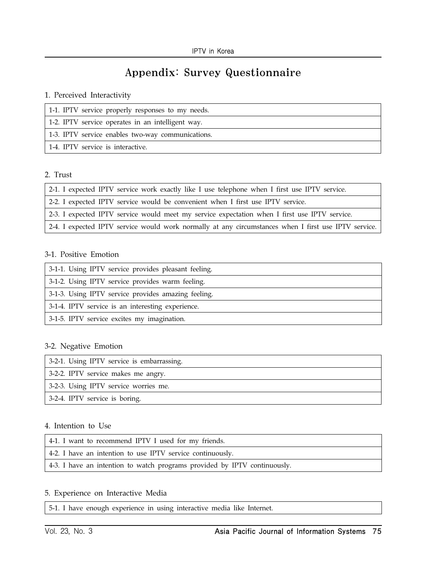# Appendix: Survey Questionnaire

### 1. Perceived Interactivity

| 1-1. IPTV service properly responses to my needs. |
|---------------------------------------------------|
| 1-2. IPTV service operates in an intelligent way. |
| 1.3. IPTV service enables two-way communications. |
| 1-4. IPTV service is interactive.                 |

## 2. Trust

| 2-1. I expected IPTV service work exactly like I use telephone when I first use IPTV service. |  |  |  |  |  |  |  |  |  |  |  |  |  |  |
|-----------------------------------------------------------------------------------------------|--|--|--|--|--|--|--|--|--|--|--|--|--|--|
|-----------------------------------------------------------------------------------------------|--|--|--|--|--|--|--|--|--|--|--|--|--|--|

2-2. I expected IPTV service would be convenient when I first use IPTV service.

2-3. I expected IPTV service would meet my service expectation when I first use IPTV service.

2-4. I expected IPTV service would work normally at any circumstances when I first use IPTV service.

### 3-1. Positive Emotion

| 3-1-1. Using IPTV service provides pleasant feeling. |
|------------------------------------------------------|
| 3-1-2. Using IPTV service provides warm feeling.     |
| 3-1-3. Using IPTV service provides amazing feeling.  |
| 3-1-4. IPTV service is an interesting experience.    |
| 3-1-5. IPTV service excites my imagination.          |

### 3-2. Negative Emotion

| 3-2-1. Using IPTV service is embarrassing. |
|--------------------------------------------|
| 3-2-2. IPTV service makes me angry.        |
| 3-2-3. Using IPTV service worries me.      |
| 3-2-4. IPTV service is boring.             |
|                                            |

### 4. Intention to Use

| 4-1. I want to recommend IPTV I used for my friends.                      |
|---------------------------------------------------------------------------|
| 4-2. I have an intention to use IPTV service continuously.                |
| 4-3. I have an intention to watch programs provided by IPTV continuously. |

### 5. Experience on Interactive Media

5-1. I have enough experience in using interactive media like Internet.